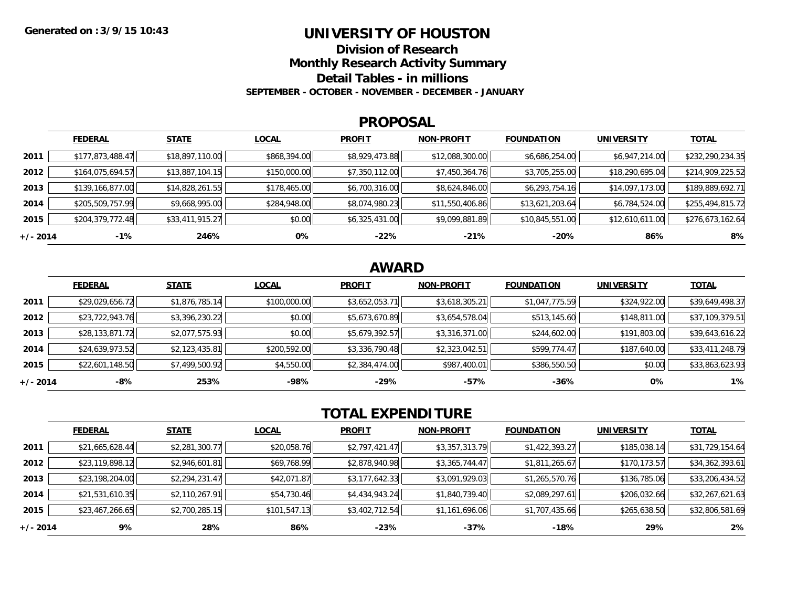### **UNIVERSITY OF HOUSTON**

**Division of Research**

**Monthly Research Activity Summary**

**Detail Tables - in millions**

**SEPTEMBER - OCTOBER - NOVEMBER - DECEMBER - JANUARY**

#### **PROPOSAL**

|            | <b>FEDERAL</b>   | <b>STATE</b>    | <b>LOCAL</b> | <b>PROFIT</b>  | <b>NON-PROFIT</b> | <b>FOUNDATION</b> | <b>UNIVERSITY</b> | <b>TOTAL</b>     |
|------------|------------------|-----------------|--------------|----------------|-------------------|-------------------|-------------------|------------------|
| 2011       | \$177,873,488.47 | \$18,897,110.00 | \$868,394.00 | \$8,929,473.88 | \$12,088,300.00   | \$6,686,254.00    | \$6,947,214.00    | \$232,290,234.35 |
| 2012       | \$164,075,694.57 | \$13,887,104.15 | \$150,000.00 | \$7,350,112.00 | \$7,450,364.76    | \$3,705,255.00    | \$18,290,695.04   | \$214,909,225.52 |
| 2013       | \$139,166,877.00 | \$14,828,261.55 | \$178,465.00 | \$6,700,316.00 | \$8,624,846.00    | \$6,293,754.16    | \$14,097,173.00   | \$189,889,692.71 |
| 2014       | \$205,509,757.99 | \$9,668,995.00  | \$284,948.00 | \$8,074,980.23 | \$11,550,406.86   | \$13,621,203.64   | \$6,784,524.00    | \$255,494,815.72 |
| 2015       | \$204,379,772.48 | \$33,411,915.27 | \$0.00       | \$6,325,431.00 | \$9,099,881.89    | \$10,845,551.00   | \$12,610,611.00   | \$276,673,162.64 |
| $+/- 2014$ | $-1\%$           | 246%            | 0%           | $-22%$         | $-21%$            | -20%              | 86%               | 8%               |

## **AWARD**

|          | <b>FEDERAL</b>  | <b>STATE</b>   | <b>LOCAL</b> | <b>PROFIT</b>  | <b>NON-PROFIT</b> | <b>FOUNDATION</b> | <b>UNIVERSITY</b> | <b>TOTAL</b>    |
|----------|-----------------|----------------|--------------|----------------|-------------------|-------------------|-------------------|-----------------|
| 2011     | \$29,029,656.72 | \$1,876,785.14 | \$100,000.00 | \$3,652,053.71 | \$3,618,305.21    | \$1,047,775.59    | \$324,922.00      | \$39,649,498.37 |
| 2012     | \$23,722,943.76 | \$3,396,230.22 | \$0.00       | \$5,673,670.89 | \$3,654,578.04    | \$513,145.60      | \$148,811.00      | \$37,109,379.51 |
| 2013     | \$28,133,871.72 | \$2,077,575.93 | \$0.00       | \$5,679,392.57 | \$3,316,371.00    | \$244,602.00      | \$191,803.00      | \$39,643,616.22 |
| 2014     | \$24,639,973.52 | \$2,123,435.81 | \$200,592.00 | \$3,336,790.48 | \$2,323,042.51    | \$599,774.47      | \$187,640.00      | \$33,411,248.79 |
| 2015     | \$22,601,148.50 | \$7,499,500.92 | \$4,550.00   | \$2,384,474.00 | \$987,400.01      | \$386,550.50      | \$0.00            | \$33,863,623.93 |
| +/- 2014 | -8%             | 253%           | -98%         | $-29%$         | -57%              | $-36%$            | 0%                | 1%              |

# **TOTAL EXPENDITURE**

|            | <b>FEDERAL</b>  | <b>STATE</b>   | <b>LOCAL</b> | <b>PROFIT</b>  | <b>NON-PROFIT</b> | <b>FOUNDATION</b> | <b>UNIVERSITY</b> | <b>TOTAL</b>    |
|------------|-----------------|----------------|--------------|----------------|-------------------|-------------------|-------------------|-----------------|
| 2011       | \$21,665,628.44 | \$2,281,300.77 | \$20,058.76  | \$2,797,421.47 | \$3,357,313.79    | \$1,422,393.27    | \$185,038.14      | \$31,729,154.64 |
| 2012       | \$23,119,898.12 | \$2,946,601.81 | \$69,768.99  | \$2,878,940.98 | \$3,365,744.47    | \$1,811,265.67    | \$170,173.57      | \$34,362,393.61 |
| 2013       | \$23,198,204.00 | \$2,294,231.47 | \$42,071.87  | \$3,177,642.33 | \$3,091,929.03    | \$1,265,570.76    | \$136,785.06      | \$33,206,434.52 |
| 2014       | \$21,531,610.35 | \$2,110,267.91 | \$54,730.46  | \$4,434,943.24 | \$1,840,739.40    | \$2,089,297.61    | \$206,032.66      | \$32,267,621.63 |
| 2015       | \$23,467,266.65 | \$2,700,285.15 | \$101,547.13 | \$3,402,712.54 | \$1,161,696.06    | \$1,707,435.66    | \$265,638.50      | \$32,806,581.69 |
| $+/- 2014$ | 9%              | 28%            | 86%          | $-23%$         | $-37%$            | $-18%$            | 29%               | 2%              |